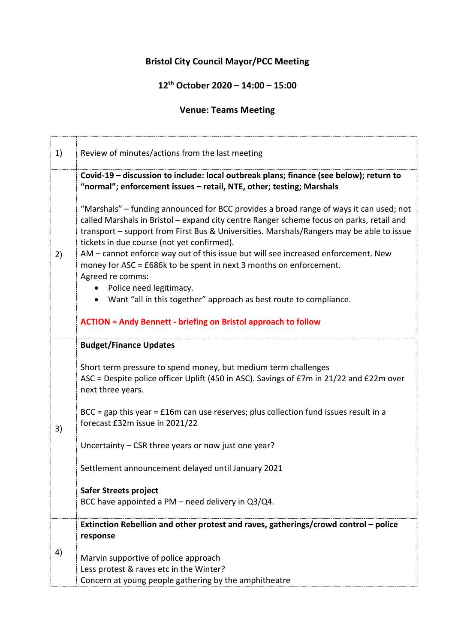## **Bristol City Council Mayor/PCC Meeting**

## **12th October 2020 – 14:00 – 15:00**

## **Venue: Teams Meeting**

| 1) | Review of minutes/actions from the last meeting                                                                                                                                                                                                                                                                                                                                                                                                                                                                                                                                                                                                                                        |
|----|----------------------------------------------------------------------------------------------------------------------------------------------------------------------------------------------------------------------------------------------------------------------------------------------------------------------------------------------------------------------------------------------------------------------------------------------------------------------------------------------------------------------------------------------------------------------------------------------------------------------------------------------------------------------------------------|
|    | Covid-19 – discussion to include: local outbreak plans; finance (see below); return to<br>"normal"; enforcement issues - retail, NTE, other; testing; Marshals                                                                                                                                                                                                                                                                                                                                                                                                                                                                                                                         |
| 2) | "Marshals" – funding announced for BCC provides a broad range of ways it can used; not<br>called Marshals in Bristol - expand city centre Ranger scheme focus on parks, retail and<br>transport - support from First Bus & Universities. Marshals/Rangers may be able to issue<br>tickets in due course (not yet confirmed).<br>AM - cannot enforce way out of this issue but will see increased enforcement. New<br>money for ASC = £686k to be spent in next 3 months on enforcement.<br>Agreed re comms:<br>Police need legitimacy.<br>• Want "all in this together" approach as best route to compliance.<br><b>ACTION = Andy Bennett - briefing on Bristol approach to follow</b> |
|    | <b>Budget/Finance Updates</b>                                                                                                                                                                                                                                                                                                                                                                                                                                                                                                                                                                                                                                                          |
| 3) | Short term pressure to spend money, but medium term challenges<br>ASC = Despite police officer Uplift (450 in ASC). Savings of £7m in 21/22 and £22m over<br>next three years.                                                                                                                                                                                                                                                                                                                                                                                                                                                                                                         |
|    | $BCC = gap$ this year = £16m can use reserves; plus collection fund issues result in a<br>forecast £32m issue in 2021/22                                                                                                                                                                                                                                                                                                                                                                                                                                                                                                                                                               |
|    | Uncertainty $-$ CSR three years or now just one year?                                                                                                                                                                                                                                                                                                                                                                                                                                                                                                                                                                                                                                  |
|    | Settlement announcement delayed until January 2021                                                                                                                                                                                                                                                                                                                                                                                                                                                                                                                                                                                                                                     |
|    | <b>Safer Streets project</b><br>BCC have appointed a PM - need delivery in Q3/Q4.                                                                                                                                                                                                                                                                                                                                                                                                                                                                                                                                                                                                      |
| 4) | Extinction Rebellion and other protest and raves, gatherings/crowd control - police<br>response                                                                                                                                                                                                                                                                                                                                                                                                                                                                                                                                                                                        |
|    | Marvin supportive of police approach<br>Less protest & raves etc in the Winter?<br>Concern at young people gathering by the amphitheatre                                                                                                                                                                                                                                                                                                                                                                                                                                                                                                                                               |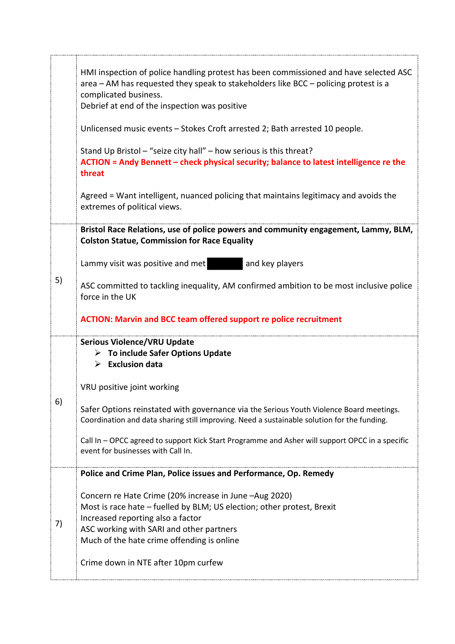|    | HMI inspection of police handling protest has been commissioned and have selected ASC<br>area - AM has requested they speak to stakeholders like BCC - policing protest is a<br>complicated business.<br>Debrief at end of the inspection was positive          |
|----|-----------------------------------------------------------------------------------------------------------------------------------------------------------------------------------------------------------------------------------------------------------------|
|    | Unlicensed music events - Stokes Croft arrested 2; Bath arrested 10 people.                                                                                                                                                                                     |
|    | Stand Up Bristol - "seize city hall" - how serious is this threat?<br>ACTION = Andy Bennett - check physical security; balance to latest intelligence re the<br>threat                                                                                          |
|    | Agreed = Want intelligent, nuanced policing that maintains legitimacy and avoids the<br>extremes of political views.                                                                                                                                            |
| 5) | Bristol Race Relations, use of police powers and community engagement, Lammy, BLM,<br><b>Colston Statue, Commission for Race Equality</b>                                                                                                                       |
|    | and key players<br>Lammy visit was positive and met                                                                                                                                                                                                             |
|    | ASC committed to tackling inequality, AM confirmed ambition to be most inclusive police<br>force in the UK                                                                                                                                                      |
|    | <b>ACTION: Marvin and BCC team offered support re police recruitment</b>                                                                                                                                                                                        |
| 6) | <b>Serious Violence/VRU Update</b><br>$\triangleright$ To include Safer Options Update<br>$\triangleright$ Exclusion data                                                                                                                                       |
|    | VRU positive joint working                                                                                                                                                                                                                                      |
|    | Safer Options reinstated with governance via the Serious Youth Violence Board meetings.<br>Coordination and data sharing still improving. Need a sustainable solution for the funding.                                                                          |
|    | Call In - OPCC agreed to support Kick Start Programme and Asher will support OPCC in a specific<br>event for businesses with Call In.                                                                                                                           |
| 7) | Police and Crime Plan, Police issues and Performance, Op. Remedy                                                                                                                                                                                                |
|    | Concern re Hate Crime (20% increase in June -Aug 2020)<br>Most is race hate - fuelled by BLM; US election; other protest, Brexit<br>Increased reporting also a factor<br>ASC working with SARI and other partners<br>Much of the hate crime offending is online |
|    | Crime down in NTE after 10pm curfew                                                                                                                                                                                                                             |

..,